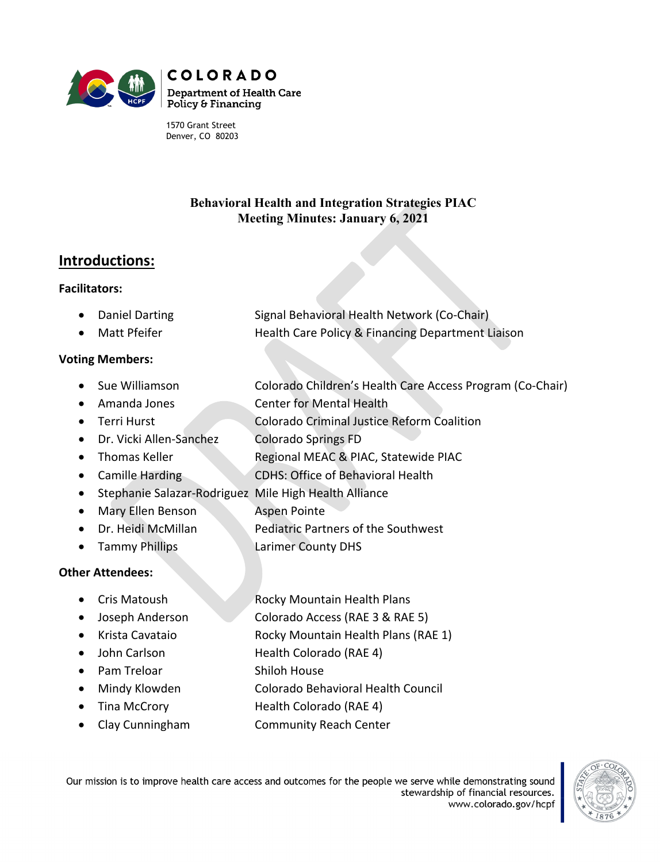

1570 Grant Street Denver, CO 80203

## **Behavioral Health and Integration Strategies PIAC Meeting Minutes: January 6, 2021**

# **Introductions:**

#### **Facilitators:**

| • Daniel Darting | Signal Behavioral Health Network (Co-Chair)       |
|------------------|---------------------------------------------------|
| • Matt Pfeifer   | Health Care Policy & Financing Department Liaison |

#### **Voting Members:**

- Sue Williamson Colorado Children's Health Care Access Program (Co-Chair)
- Amanda Jones Center for Mental Health
- Terri Hurst Colorado Criminal Justice Reform Coalition
- Dr. Vicki Allen-Sanchez Colorado Springs FD
- Thomas Keller Regional MEAC & PIAC, Statewide PIAC
- Camille Harding CDHS: Office of Behavioral Health
- Stephanie Salazar-Rodriguez Mile High Health Alliance
- Mary Ellen Benson Aspen Pointe
- Dr. Heidi McMillan Pediatric Partners of the Southwest
- Tammy Phillips **Larimer County DHS**

### **Other Attendees:**

- Cris Matoush Rocky Mountain Health Plans
- Joseph Anderson Colorado Access (RAE 3 & RAE 5)
- Krista Cavataio Rocky Mountain Health Plans (RAE 1)
- John Carlson Health Colorado (RAE 4)
- Pam Treloar Shiloh House
- Mindy Klowden Colorado Behavioral Health Council
- Tina McCrory **Health Colorado (RAE 4)**
- Clay Cunningham Community Reach Center

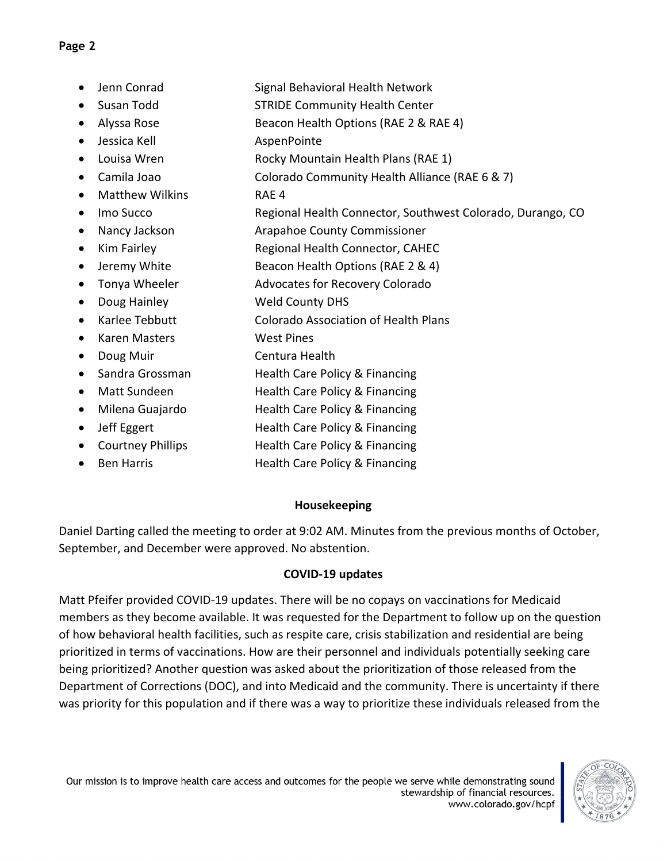## **Page 2**

- Jenn Conrad Signal Behavioral Health Network
- Susan Todd STRIDE Community Health Center
- Alyssa Rose Beacon Health Options (RAE 2 & RAE 4)
- Jessica Kell AspenPointe
- Louisa Wren Rocky Mountain Health Plans (RAE 1)
- Camila Joao Colorado Community Health Alliance (RAE 6 & 7)
- Matthew Wilkins RAE 4
- Imo Succo **Regional Health Connector, Southwest Colorado**, Durango, CO
- Nancy Jackson **Arapahoe County Commissioner**
- Kim Fairley Regional Health Connector, CAHEC
- Jeremy White Beacon Health Options (RAE 2 & 4)
- Tonya Wheeler **Advocates for Recovery Colorado**
- Doug Hainley Weld County DHS
- Karlee Tebbutt Colorado Association of Health Plans
- Karen Masters West Pines
- Doug Muir Centura Health
- Sandra Grossman **Health Care Policy & Financing**
- Matt Sundeen Health Care Policy & Financing
- Milena Guajardo **Health Care Policy & Financing**
- Jeff Eggert Health Care Policy & Financing
- Courtney Phillips **Health Care Policy & Financing**
- Ben Harris **Francis** Health Care Policy & Financing

# **Housekeeping**

Daniel Darting called the meeting to order at 9:02 AM. Minutes from the previous months of October, September, and December were approved. No abstention.

# **COVID-19 updates**

Matt Pfeifer provided COVID-19 updates. There will be no copays on vaccinations for Medicaid members as they become available. It was requested for the Department to follow up on the question of how behavioral health facilities, such as respite care, crisis stabilization and residential are being prioritized in terms of vaccinations. How are their personnel and individuals potentially seeking care being prioritized? Another question was asked about the prioritization of those released from the Department of Corrections (DOC), and into Medicaid and the community. There is uncertainty if there was priority for this population and if there was a way to prioritize these individuals released from the

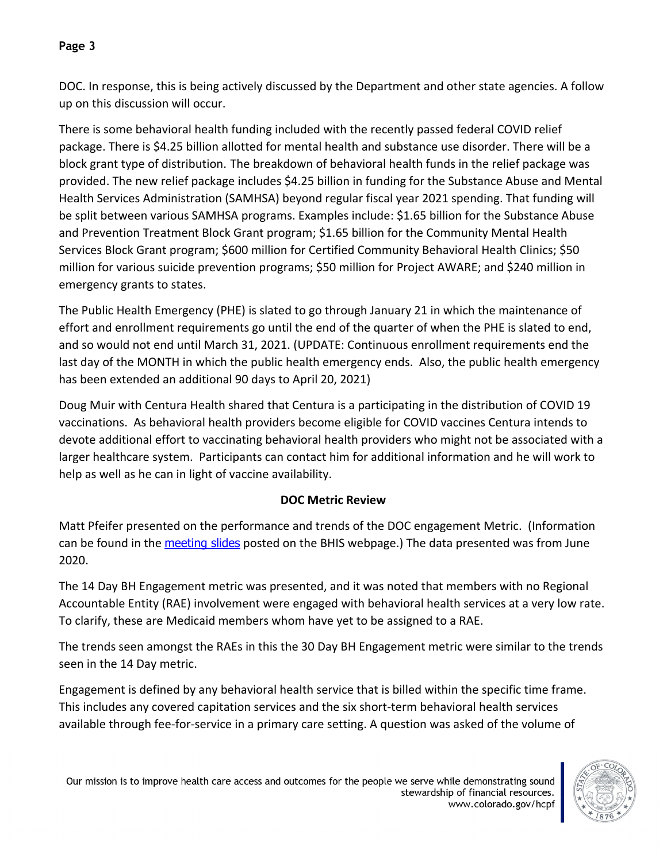# **Page 3**

DOC. In response, this is being actively discussed by the Department and other state agencies. A follow up on this discussion will occur.

There is some behavioral health funding included with the recently passed federal COVID relief package. There is \$4.25 billion allotted for mental health and substance use disorder. There will be a block grant type of distribution. The breakdown of behavioral health funds in the relief package was provided. The new relief package includes \$4.25 billion in funding for the Substance Abuse and Mental Health Services Administration (SAMHSA) beyond regular fiscal year 2021 spending. That funding will be split between various SAMHSA programs. Examples include: \$1.65 billion for the Substance Abuse and Prevention Treatment Block Grant program; \$1.65 billion for the Community Mental Health Services Block Grant program; \$600 million for Certified Community Behavioral Health Clinics; \$50 million for various suicide prevention programs; \$50 million for Project AWARE; and \$240 million in emergency grants to states.

The Public Health Emergency (PHE) is slated to go through January 21 in which the maintenance of effort and enrollment requirements go until the end of the quarter of when the PHE is slated to end, and so would not end until March 31, 2021. (UPDATE: Continuous enrollment requirements end the last day of the MONTH in which the public health emergency ends. Also, the public health emergency has been extended an additional 90 days to April 20, 2021)

Doug Muir with Centura Health shared that Centura is a participating in the distribution of COVID 19 vaccinations. As behavioral health providers become eligible for COVID vaccines Centura intends to devote additional effort to vaccinating behavioral health providers who might not be associated with a larger healthcare system. Participants can contact him for additional information and he will work to help as well as he can in light of vaccine availability.

# **DOC Metric Review**

Matt Pfeifer presented on the performance and trends of the DOC engagement Metric. (Information can be found in the [meeting slides](https://www.colorado.gov/pacific/sites/default/files/Behavioral%20Health%20and%20Integration%20Strategies%20PIAC%20Subcommittee%20PowerPoint%20January%202021.pdf) posted on the BHIS webpage.) The data presented was from June 2020.

The 14 Day BH Engagement metric was presented, and it was noted that members with no Regional Accountable Entity (RAE) involvement were engaged with behavioral health services at a very low rate. To clarify, these are Medicaid members whom have yet to be assigned to a RAE.

The trends seen amongst the RAEs in this the 30 Day BH Engagement metric were similar to the trends seen in the 14 Day metric.

Engagement is defined by any behavioral health service that is billed within the specific time frame. This includes any covered capitation services and the six short-term behavioral health services available through fee-for-service in a primary care setting. A question was asked of the volume of

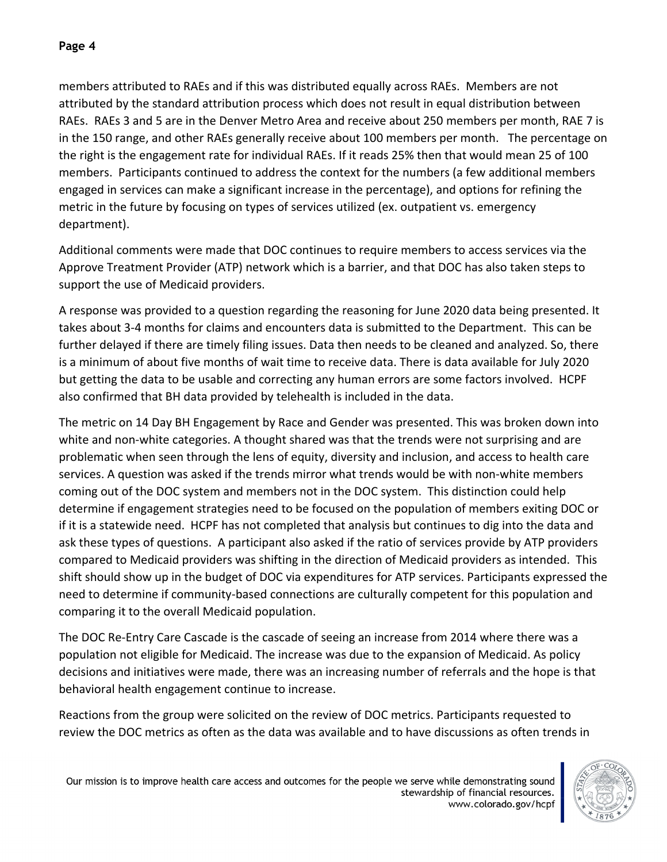members attributed to RAEs and if this was distributed equally across RAEs. Members are not attributed by the standard attribution process which does not result in equal distribution between RAEs. RAEs 3 and 5 are in the Denver Metro Area and receive about 250 members per month, RAE 7 is in the 150 range, and other RAEs generally receive about 100 members per month. The percentage on the right is the engagement rate for individual RAEs. If it reads 25% then that would mean 25 of 100 members. Participants continued to address the context for the numbers (a few additional members engaged in services can make a significant increase in the percentage), and options for refining the metric in the future by focusing on types of services utilized (ex. outpatient vs. emergency department).

Additional comments were made that DOC continues to require members to access services via the Approve Treatment Provider (ATP) network which is a barrier, and that DOC has also taken steps to support the use of Medicaid providers.

A response was provided to a question regarding the reasoning for June 2020 data being presented. It takes about 3-4 months for claims and encounters data is submitted to the Department. This can be further delayed if there are timely filing issues. Data then needs to be cleaned and analyzed. So, there is a minimum of about five months of wait time to receive data. There is data available for July 2020 but getting the data to be usable and correcting any human errors are some factors involved. HCPF also confirmed that BH data provided by telehealth is included in the data.

The metric on 14 Day BH Engagement by Race and Gender was presented. This was broken down into white and non-white categories. A thought shared was that the trends were not surprising and are problematic when seen through the lens of equity, diversity and inclusion, and access to health care services. A question was asked if the trends mirror what trends would be with non-white members coming out of the DOC system and members not in the DOC system. This distinction could help determine if engagement strategies need to be focused on the population of members exiting DOC or if it is a statewide need. HCPF has not completed that analysis but continues to dig into the data and ask these types of questions. A participant also asked if the ratio of services provide by ATP providers compared to Medicaid providers was shifting in the direction of Medicaid providers as intended. This shift should show up in the budget of DOC via expenditures for ATP services. Participants expressed the need to determine if community-based connections are culturally competent for this population and comparing it to the overall Medicaid population.

The DOC Re-Entry Care Cascade is the cascade of seeing an increase from 2014 where there was a population not eligible for Medicaid. The increase was due to the expansion of Medicaid. As policy decisions and initiatives were made, there was an increasing number of referrals and the hope is that behavioral health engagement continue to increase.

Reactions from the group were solicited on the review of DOC metrics. Participants requested to review the DOC metrics as often as the data was available and to have discussions as often trends in

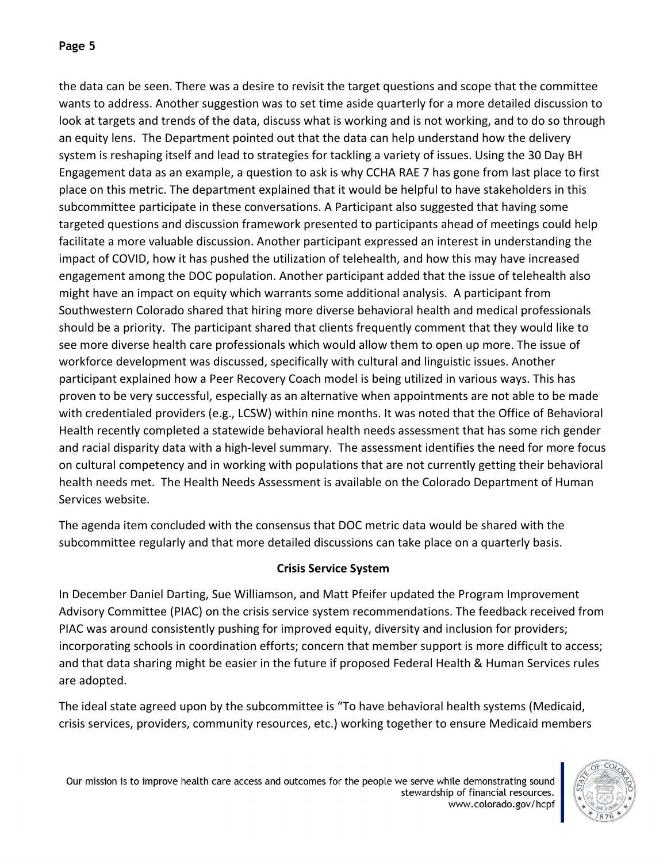# **Page 5**

the data can be seen. There was a desire to revisit the target questions and scope that the committee wants to address. Another suggestion was to set time aside quarterly for a more detailed discussion to look at targets and trends of the data, discuss what is working and is not working, and to do so through an equity lens. The Department pointed out that the data can help understand how the delivery system is reshaping itself and lead to strategies for tackling a variety of issues. Using the 30 Day BH Engagement data as an example, a question to ask is why CCHA RAE 7 has gone from last place to first place on this metric. The department explained that it would be helpful to have stakeholders in this subcommittee participate in these conversations. A Participant also suggested that having some targeted questions and discussion framework presented to participants ahead of meetings could help facilitate a more valuable discussion. Another participant expressed an interest in understanding the impact of COVID, how it has pushed the utilization of telehealth, and how this may have increased engagement among the DOC population. Another participant added that the issue of telehealth also might have an impact on equity which warrants some additional analysis. A participant from Southwestern Colorado shared that hiring more diverse behavioral health and medical professionals should be a priority. The participant shared that clients frequently comment that they would like to see more diverse health care professionals which would allow them to open up more. The issue of workforce development was discussed, specifically with cultural and linguistic issues. Another participant explained how a Peer Recovery Coach model is being utilized in various ways. This has proven to be very successful, especially as an alternative when appointments are not able to be made with credentialed providers (e.g., LCSW) within nine months. It was noted that the Office of Behavioral Health recently completed a statewide behavioral health needs assessment that has some rich gender and racial disparity data with a high-level summary. The assessment identifies the need for more focus on cultural competency and in working with populations that are not currently getting their behavioral health needs met. The Health Needs Assessment is available on the Colorado Department of Human Services website.

The agenda item concluded with the consensus that DOC metric data would be shared with the subcommittee regularly and that more detailed discussions can take place on a quarterly basis.

### **Crisis Service System**

In December Daniel Darting, Sue Williamson, and Matt Pfeifer updated the Program Improvement Advisory Committee (PIAC) on the crisis service system recommendations. The feedback received from PIAC was around consistently pushing for improved equity, diversity and inclusion for providers; incorporating schools in coordination efforts; concern that member support is more difficult to access; and that data sharing might be easier in the future if proposed Federal Health & Human Services rules are adopted.

The ideal state agreed upon by the subcommittee is "To have behavioral health systems (Medicaid, crisis services, providers, community resources, etc.) working together to ensure Medicaid members